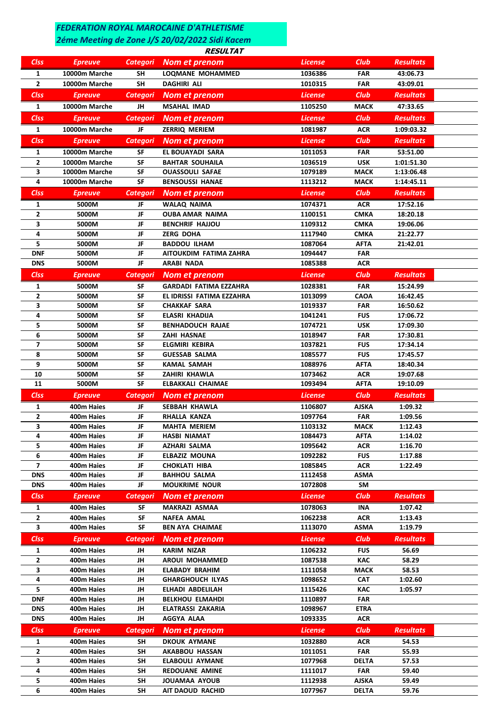## *FEDERATION ROYAL MAROCAINE D'ATHLETISME*

## *2éme Meeting de Zone J/S 20/02/2022 Sidi Kacem*

## **RESULTAT**

| <b>CIss</b>    | <b>Epreuve</b> | <b>Categori</b> | Nom et prenom           | <b>License</b> | <b>Club</b> | <b>Resultats</b> |  |
|----------------|----------------|-----------------|-------------------------|----------------|-------------|------------------|--|
| 1              | 10000m Marche  | <b>SH</b>       | <b>LOQMANE MOHAMMED</b> | 1036386        | <b>FAR</b>  | 43:06.73         |  |
| $\overline{2}$ | 10000m Marche  | <b>SH</b>       | <b>DAGHIRI ALI</b>      | 1010315        | <b>FAR</b>  | 43:09.01         |  |
| <b>Clss</b>    | <b>Epreuve</b> | <b>Categori</b> | Nom et prenom           | <b>License</b> | <b>Club</b> | <b>Resultats</b> |  |
| 1              | 10000m Marche  | JH              | <b>MSAHAL IMAD</b>      | 1105250        | <b>MACK</b> | 47:33.65         |  |
| <b>Clss</b>    | <b>Epreuve</b> | <b>Categori</b> | Nom et prenom           | <b>License</b> | <b>Club</b> | <b>Resultats</b> |  |
| 1              | 10000m Marche  | JF              | <b>ZERRIQ MERIEM</b>    | 1081987        | <b>ACR</b>  | 1:09:03.32       |  |
| <b>CIss</b>    | <b>Epreuve</b> | <b>Categori</b> | Nom et prenom           | <b>License</b> | Club        | <b>Resultats</b> |  |
| 1              | 10000m Marche  | SF              | EL BOUAYADI SARA        | 1011053        | <b>FAR</b>  | 53:51.00         |  |
| $\mathbf{2}$   | 10000m Marche  | SF              | <b>BAHTAR SOUHAILA</b>  | 1036519        | <b>USK</b>  | 1:01:51.30       |  |
| 3              | 10000m Marche  | SF              | <b>OUASSOULI SAFAE</b>  | 1079189        | <b>MACK</b> | 1:13:06.48       |  |
| 4              | 10000m Marche  | SF              | <b>BENSOUSSI HANAE</b>  | 1113212        | <b>MACK</b> | 1:14:45.11       |  |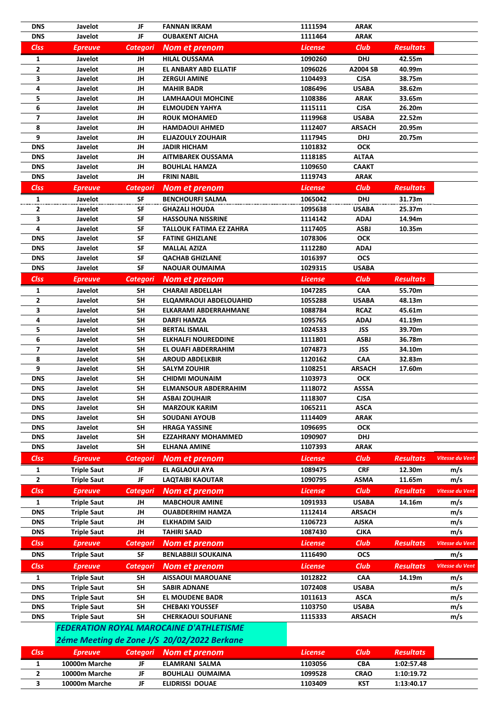|             |                |    | <b>FEDERATION ROYAL MAROCAINE D'ATHLETISME</b> |                      |             |                  |
|-------------|----------------|----|------------------------------------------------|----------------------|-------------|------------------|
|             |                |    | 2éme Meeting de Zone J/S 20/02/2022 Berkane    |                      |             |                  |
| <b>Clss</b> | <b>Epreuve</b> |    | Categori Nom et prenom                         | License <sup>1</sup> | Club        | <b>Resultats</b> |
|             | 10000m Marche  | JF | ELAMRANI SALMA                                 | 1103056              | <b>CBA</b>  | 1:02:57.48       |
|             | 10000m Marche  | JF | <b>BOUHLALI OUMAIMA</b>                        | 1099528              | <b>CRAO</b> | 1:10:19.72       |
|             | 10000m Marche  | JF | ELIDRISSI DOUAE                                | 1103409              | <b>KST</b>  | 1:13:40.17       |